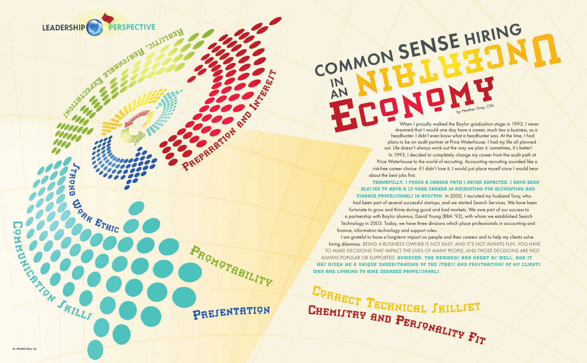

ō  $\overline{A}$ 

**CORR ETHIC** 

COMMON SENSE HIRING AN

> In 1995, I decided to completely change my career from the audit path at Price Waterhouse to the world of recruiting. Accounting recruiting sounded like a risk-free career choice: if I didn't love it, I would just place myself since I would hear about the best jobs first. THANKFULLY, I FOUND A CAREER PATH I NEVER EXPECTED. I HAVE BEEN BLEJJED TO HAVE A 17-YEAR CAREER IN RECRUITING FOR ACCOUNTING AND FINANCE PROFEJJIONALJ IN HOUJTON. In 2000, I recruited my husband Tony, who

I am grateful to have a long-term impact on people and their careers and to help my clients solve hiring dilemmas. BEING A BUSINESS OWNER IS NOT EASY, AND IT'S NOT ALWAYS FUN. YOU HAVE TO MAKE DECISIONS THAT IMPACT THE LIVES OF MANY PEOPLE, AND THOSE DECISIONS ARE NOT ALWAYS POPULAR OR SUPPORTED. HOWEVER, THE REWARDS ARE GREAT AS WELL, AND IT HAS GIVEN ME A UNIQUE UNDERSTANDING OF THE STRESS AND FRUSTRATIONS OF MY CLIENTS WHO ARE LOOKING TO HIRE DEGREED PROFESSIONALS.

CORRECT TECHNICAL SKILLSET

PREJENTATION

PROMOTRBILITY

 When I proudly walked the Baylor graduation stage in 1993, I never dreamed that I would one day have a career, much less a business, as a headhunter. I didn't even know what a headhunter was. At the time, I had plans to be an audit partner at Price Waterhouse. I had my life all planned out. Life doesn't always work out the way we plan it; sometimes, it's better!

by Heather Gray, CPA

had been part of several successful startups, and we started Search Services. We have been fortunate to grow and thrive during good and bad markets. We owe part of our success to a partnership with Baylor alumnus, David Young (BBA '92), with whom we established Search Technology in 2003. Today, we have three divisions which place professionals in accounting and finance, information technology and support roles.



**HARRY COOL**